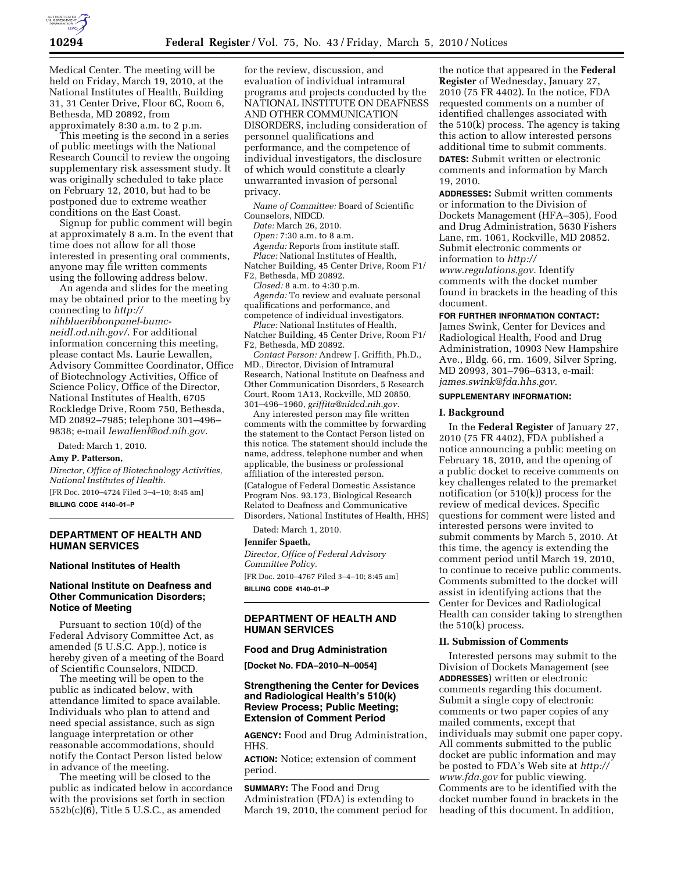

Medical Center. The meeting will be held on Friday, March 19, 2010, at the National Institutes of Health, Building 31, 31 Center Drive, Floor 6C, Room 6, Bethesda, MD 20892, from approximately 8:30 a.m. to 2 p.m.

This meeting is the second in a series of public meetings with the National Research Council to review the ongoing supplementary risk assessment study. It was originally scheduled to take place on February 12, 2010, but had to be postponed due to extreme weather conditions on the East Coast.

Signup for public comment will begin at approximately 8 a.m. In the event that time does not allow for all those interested in presenting oral comments, anyone may file written comments using the following address below.

An agenda and slides for the meeting may be obtained prior to the meeting by connecting to *http:// nihblueribbonpanel-bumcneidl.od.nih.gov/*. For additional information concerning this meeting, please contact Ms. Laurie Lewallen, Advisory Committee Coordinator, Office of Biotechnology Activities, Office of Science Policy, Office of the Director, National Institutes of Health, 6705 Rockledge Drive, Room 750, Bethesda, MD 20892–7985; telephone 301–496– 9838; e-mail *lewallenl@od.nih.gov*.

Dated: March 1, 2010.

#### **Amy P. Patterson,**

*Director, Office of Biotechnology Activities, National Institutes of Health.*  [FR Doc. 2010–4724 Filed 3–4–10; 8:45 am]

**BILLING CODE 4140–01–P** 

### **DEPARTMENT OF HEALTH AND HUMAN SERVICES**

#### **National Institutes of Health**

# **National Institute on Deafness and Other Communication Disorders; Notice of Meeting**

Pursuant to section 10(d) of the Federal Advisory Committee Act, as amended (5 U.S.C. App.), notice is hereby given of a meeting of the Board of Scientific Counselors, NIDCD.

The meeting will be open to the public as indicated below, with attendance limited to space available. Individuals who plan to attend and need special assistance, such as sign language interpretation or other reasonable accommodations, should notify the Contact Person listed below in advance of the meeting.

The meeting will be closed to the public as indicated below in accordance with the provisions set forth in section 552b(c)(6), Title 5 U.S.C., as amended

for the review, discussion, and evaluation of individual intramural programs and projects conducted by the NATIONAL INSTITUTE ON DEAFNESS AND OTHER COMMUNICATION DISORDERS, including consideration of personnel qualifications and performance, and the competence of individual investigators, the disclosure of which would constitute a clearly unwarranted invasion of personal privacy.

*Name of Committee:* Board of Scientific Counselors, NIDCD.

*Date:* March 26, 2010.

*Open:* 7:30 a.m. to 8 a.m.

*Agenda:* Reports from institute staff. *Place:* National Institutes of Health,

Natcher Building, 45 Center Drive, Room F1/ F2, Bethesda, MD 20892.

*Closed:* 8 a.m. to 4:30 p.m. *Agenda:* To review and evaluate personal qualifications and performance, and competence of individual investigators.

*Place:* National Institutes of Health, Natcher Building, 45 Center Drive, Room F1/ F2, Bethesda, MD 20892.

*Contact Person:* Andrew J. Griffith, Ph.D., MD., Director, Division of Intramural Research, National Institute on Deafness and Other Communication Disorders, 5 Research Court, Room 1A13, Rockville, MD 20850, 301–496–1960, *griffita@nidcd.nih.gov.* 

Any interested person may file written comments with the committee by forwarding the statement to the Contact Person listed on this notice. The statement should include the name, address, telephone number and when applicable, the business or professional affiliation of the interested person. (Catalogue of Federal Domestic Assistance Program Nos. 93.173, Biological Research Related to Deafness and Communicative Disorders, National Institutes of Health, HHS)

Dated: March 1, 2010.

#### **Jennifer Spaeth,**

*Director, Office of Federal Advisory Committee Policy.*  [FR Doc. 2010–4767 Filed 3–4–10; 8:45 am] **BILLING CODE 4140–01–P** 

# **DEPARTMENT OF HEALTH AND HUMAN SERVICES**

#### **Food and Drug Administration**

**[Docket No. FDA–2010–N–0054]** 

# **Strengthening the Center for Devices and Radiological Health's 510(k) Review Process; Public Meeting; Extension of Comment Period**

**AGENCY:** Food and Drug Administration, HHS.

**ACTION:** Notice; extension of comment period.

**SUMMARY:** The Food and Drug Administration (FDA) is extending to March 19, 2010, the comment period for

the notice that appeared in the **Federal Register** of Wednesday, January 27, 2010 (75 FR 4402). In the notice, FDA requested comments on a number of identified challenges associated with the 510(k) process. The agency is taking this action to allow interested persons additional time to submit comments. **DATES:** Submit written or electronic comments and information by March 19, 2010.

**ADDRESSES:** Submit written comments or information to the Division of Dockets Management (HFA–305), Food and Drug Administration, 5630 Fishers Lane, rm. 1061, Rockville, MD 20852. Submit electronic comments or information to *http:// www.regulations.gov*. Identify comments with the docket number found in brackets in the heading of this document.

#### **FOR FURTHER INFORMATION CONTACT:**

James Swink, Center for Devices and Radiological Health, Food and Drug Administration, 10903 New Hampshire Ave., Bldg. 66, rm. 1609, Silver Spring, MD 20993, 301–796–6313, e-mail: *james.swink@fda.hhs.gov*.

# **SUPPLEMENTARY INFORMATION:**

### **I. Background**

In the **Federal Register** of January 27, 2010 (75 FR 4402), FDA published a notice announcing a public meeting on February 18, 2010, and the opening of a public docket to receive comments on key challenges related to the premarket notification (or 510(k)) process for the review of medical devices. Specific questions for comment were listed and interested persons were invited to submit comments by March 5, 2010. At this time, the agency is extending the comment period until March 19, 2010, to continue to receive public comments. Comments submitted to the docket will assist in identifying actions that the Center for Devices and Radiological Health can consider taking to strengthen the 510(k) process.

#### **II. Submission of Comments**

Interested persons may submit to the Division of Dockets Management (see **ADDRESSES**) written or electronic comments regarding this document. Submit a single copy of electronic comments or two paper copies of any mailed comments, except that individuals may submit one paper copy. All comments submitted to the public docket are public information and may be posted to FDA's Web site at *http:// www.fda.gov* for public viewing. Comments are to be identified with the docket number found in brackets in the heading of this document. In addition,